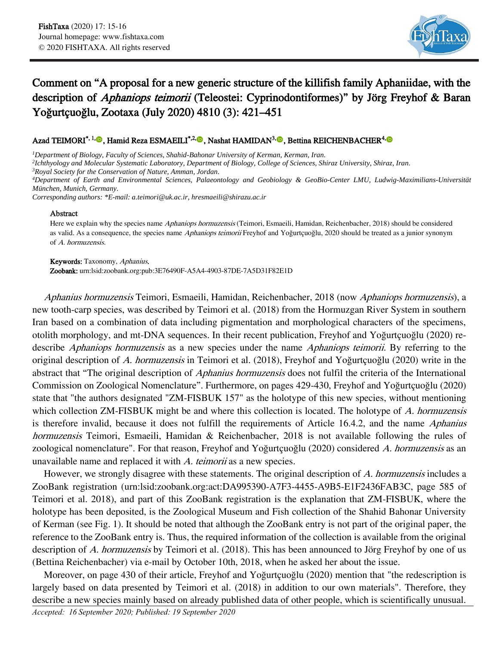

## Comment on "A proposal for a new generic structure of the killifish family Aphaniidae, with the description of *Aphaniops teimorii* (Teleostei: Cyprinodontiformes)" by Jörg Freyhof & Baran Yoğurtçuoğlu, Zootaxa (July 2020) 4810 (3): 421–451

## Azad TEIMORI<sup>\*[,](https://orcid.org/0000-0002-9736-397X)1,</sup>®, Hamid Reza ESMAEILI<sup>\*,2,</sup>®, Nashat HAMIDAN<sup>3,</sup>®, Bettina REICHENBACHER<sup>4,</sup>®

*<sup>1</sup>Department of Biology, Faculty of Sciences, Shahid-Bahonar University of Kerman, Kerman, Iran.*

*2 Ichthyology and Molecular Systematic Laboratory, Department of Biology, College of Sciences, Shiraz University, Shiraz, Iran.*

*<sup>3</sup>Royal Society for the Conservation of Nature, Amman, Jordan.*

*<sup>4</sup>Department of Earth and Environmental Sciences, Palaeontology and Geobiology & GeoBio-Center LMU, Ludwig-Maximilians-Universität München, Munich, Germany.*

*Corresponding authors: \*E-mail: a.teimori@uk.ac.ir, hresmaeili@shirazu.ac.ir*

## Abstract

Here we explain why the species name *Aphaniops hormuzensis* (Teimori, Esmaeili, Hamidan, Reichenbacher, 2018) should be considered as valid. As a consequence, the species name *Aphaniops teimorii* Freyhof and Yoğurtçuoğlu, 2020 should be treated as a junior synonym of A. hormuzensis.

Keywords: Taxonomy, Aphanius.

Zoobank: urn:lsid:zoobank.org:pub:3E76490F-A5A4-4903-87DE-7A5D31F82E1D

Aphanius hormuzensis Teimori, Esmaeili, Hamidan, Reichenbacher, 2018 (now Aphaniops hormuzensis), a new tooth-carp species, was described by Teimori et al. (2018) from the Hormuzgan River System in southern Iran based on a combination of data including pigmentation and morphological characters of the specimens, otolith morphology, and mt-DNA sequences. In their recent publication, Freyhof and Yoğurtçuoğlu (2020) redescribe *Aphaniops hormuzensis* as a new species under the name *Aphaniops teimorii*. By referring to the original description of A. hormuzensis in Teimori et al. (2018), Freyhof and Yoğurtçuoğlu (2020) write in the abstract that "The original description of *Aphanius hormuzensis* does not fulfil the criteria of the International Commission on Zoological Nomenclature". Furthermore, on pages 429-430, Freyhof and Yoğurtçuoğlu (2020) state that "the authors designated "ZM-FISBUK 157" as the holotype of this new species, without mentioning which collection ZM-FISBUK might be and where this collection is located. The holotype of A. hormuzensis is therefore invalid, because it does not fulfill the requirements of Article 16.4.2, and the name Aphanius hormuzensis Teimori, Esmaeili, Hamidan & Reichenbacher, 2018 is not available following the rules of zoological nomenclature". For that reason, Freyhof and Yoğurtçuoğlu (2020) considered A. hormuzensis as an unavailable name and replaced it with A. teimorii as a new species.

However, we strongly disagree with these statements. The original description of A. hormuzensis includes a ZooBank registration (urn:lsid:zoobank.org:act:DA995390-A7F3-4455-A9B5-E1F2436FAB3C, page 585 of Teimori et al. 2018), and part of this ZooBank registration is the explanation that ZM-FISBUK, where the holotype has been deposited, is the Zoological Museum and Fish collection of the Shahid Bahonar University of Kerman (see Fig. 1). It should be noted that although the ZooBank entry is not part of the original paper, the reference to the ZooBank entry is. Thus, the required information of the collection is available from the original description of A. hormuzensis by Teimori et al. (2018). This has been announced to Jörg Freyhof by one of us (Bettina Reichenbacher) via e-mail by October 10th, 2018, when he asked her about the issue.

Moreover, on page 430 of their article, Freyhof and Yoğurtçuoğlu (2020) mention that "the redescription is largely based on data presented by Teimori et al. (2018) in addition to our own materials". Therefore, they describe a new species mainly based on already published data of other people, which is scientifically unusual.